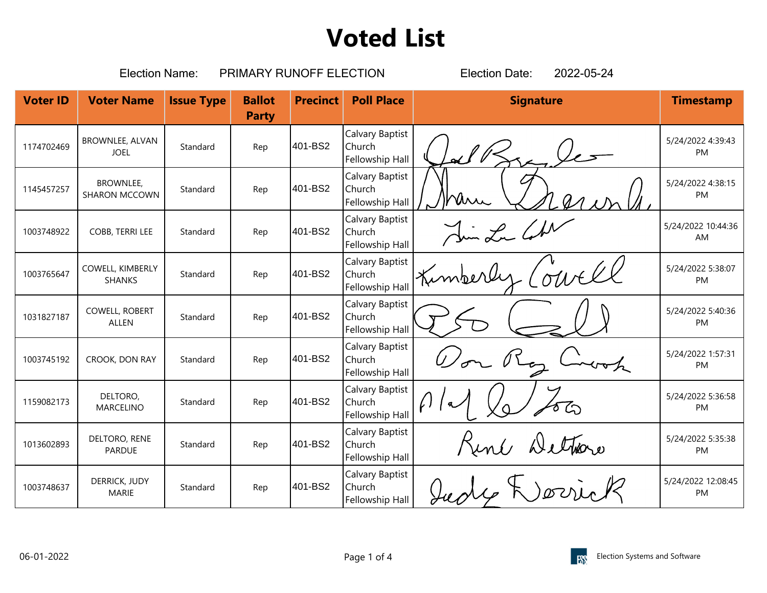|                 | <b>Election Name:</b>                    |                   | PRIMARY RUNOFF ELECTION       | 2022-05-24<br><b>Election Date:</b> |                                              |                  |                          |
|-----------------|------------------------------------------|-------------------|-------------------------------|-------------------------------------|----------------------------------------------|------------------|--------------------------|
| <b>Voter ID</b> | <b>Voter Name</b>                        | <b>Issue Type</b> | <b>Ballot</b><br><b>Party</b> | <b>Precinct</b>                     | <b>Poll Place</b>                            | <b>Signature</b> | <b>Timestamp</b>         |
| 1174702469      | <b>BROWNLEE, ALVAN</b><br><b>JOEL</b>    | Standard          | Rep                           | 401-BS2                             | Calvary Baptist<br>Church<br>Fellowship Hall |                  | 5/24/2022 4:39:43<br>PM  |
| 1145457257      | <b>BROWNLEE,</b><br><b>SHARON MCCOWN</b> | Standard          | Rep                           | 401-BS2                             | Calvary Baptist<br>Church<br>Fellowship Hall | Urr              | 5/24/2022 4:38:15<br>PM  |
| 1003748922      | COBB, TERRI LEE                          | Standard          | Rep                           | 401-BS2                             | Calvary Baptist<br>Church<br>Fellowship Hall | Jun La CAN       | 5/24/2022 10:44:36<br>AM |
| 1003765647      | COWELL, KIMBERLY<br><b>SHANKS</b>        | Standard          | Rep                           | 401-BS2                             | Calvary Baptist<br>Church<br>Fellowship Hall |                  | 5/24/2022 5:38:07<br>PM  |
| 1031827187      | COWELL, ROBERT<br><b>ALLEN</b>           | Standard          | Rep                           | 401-BS2                             | Calvary Baptist<br>Church<br>Fellowship Hall |                  | 5/24/2022 5:40:36<br>PM  |
| 1003745192      | CROOK, DON RAY                           | Standard          | Rep                           | 401-BS2                             | Calvary Baptist<br>Church<br>Fellowship Hall |                  | 5/24/2022 1:57:31<br>PM  |
| 1159082173      | DELTORO,<br><b>MARCELINO</b>             | Standard          | Rep                           | 401-BS2                             | Calvary Baptist<br>Church<br>Fellowship Hall | $\sqrt{ }$       | 5/24/2022 5:36:58<br>PM  |
| 1013602893      | DELTORO, RENE<br>PARDUE                  | Standard          | Rep                           | 401-BS2                             | Calvary Baptist<br>Church<br>Fellowship Hall | René Dethore     | 5/24/2022 5:35:38<br>PM  |
| 1003748637      | DERRICK, JUDY<br><b>MARIE</b>            | Standard          | Rep                           | 401-BS2                             | Calvary Baptist<br>Church<br>Fellowship Hall |                  | 5/24/2022 12:08:45<br>PM |

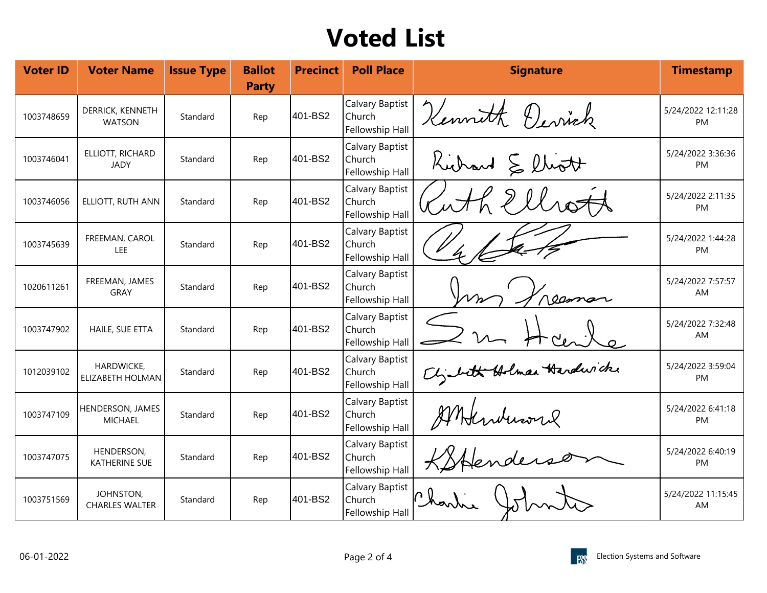| <b>Voter ID</b> | <b>Voter Name</b>                  | <b>Issue Type</b> | <b>Ballot</b><br><b>Party</b> | <b>Precinct</b> | <b>Poll Place</b>                            | <b>Signature</b>          | <b>Timestamp</b>         |
|-----------------|------------------------------------|-------------------|-------------------------------|-----------------|----------------------------------------------|---------------------------|--------------------------|
| 1003748659      | DERRICK, KENNETH<br><b>WATSON</b>  | Standard          | Rep                           | 401-BS2         | Calvary Baptist<br>Church<br>Fellowship Hall | Kennett Devick            | 5/24/2022 12:11:28<br>PM |
| 1003746041      | ELLIOTT, RICHARD<br><b>JADY</b>    | Standard          | Rep                           | 401-BS2         | Calvary Baptist<br>Church<br>Fellowship Hall | Richard & lliott          | 5/24/2022 3:36:36<br>PM  |
| 1003746056      | ELLIOTT, RUTH ANN                  | Standard          | Rep                           | 401-BS2         | Calvary Baptist<br>Church<br>Fellowship Hall | L 2 llrott                | 5/24/2022 2:11:35<br>PM  |
| 1003745639      | FREEMAN, CAROL<br><b>LEE</b>       | Standard          | Rep                           | 401-BS2         | Calvary Baptist<br>Church<br>Fellowship Hall |                           | 5/24/2022 1:44:28<br>PM  |
| 1020611261      | FREEMAN, JAMES<br><b>GRAY</b>      | Standard          | Rep                           | 401-BS2         | Calvary Baptist<br>Church<br>Fellowship Hall |                           | 5/24/2022 7:57:57<br>AM  |
| 1003747902      | HAILE, SUE ETTA                    | Standard          | Rep                           | 401-BS2         | Calvary Baptist<br>Church<br>Fellowship Hall |                           | 5/24/2022 7:32:48<br>AM  |
| 1012039102      | HARDWICKE,<br>ELIZABETH HOLMAN     | Standard          | Rep                           | 401-BS2         | Calvary Baptist<br>Church<br>Fellowship Hall | Cligabeth Holman Hardwick | 5/24/2022 3:59:04<br>PM  |
| 1003747109      | HENDERSON, JAMES<br><b>MICHAEL</b> | Standard          | Rep                           | 401-BS2         | Calvary Baptist<br>Church<br>Fellowship Hall | AMtenderse                | 5/24/2022 6:41:18<br>PM. |
| 1003747075      | HENDERSON,<br><b>KATHERINE SUE</b> | Standard          | Rep                           | 401-BS2         | Calvary Baptist<br>Church<br>Fellowship Hall |                           | 5/24/2022 6:40:19<br>PM  |
| 1003751569      | JOHNSTON,<br><b>CHARLES WALTER</b> | Standard          | Rep                           | 401-BS2         | Calvary Baptist<br>Church<br>Fellowship Hall | Charlie                   | 5/24/2022 11:15:45<br>AM |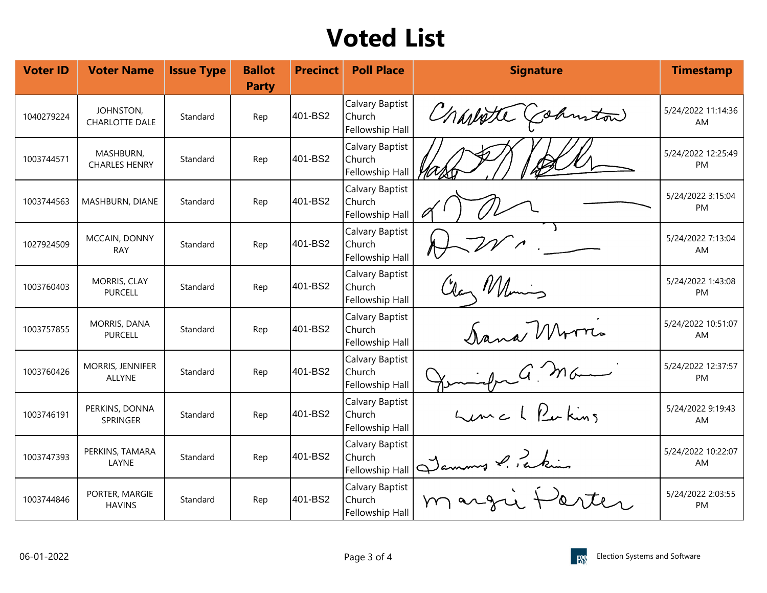| <b>Voter ID</b> | <b>Voter Name</b>                  | <b>Issue Type</b> | <b>Ballot</b><br><b>Party</b> | <b>Precinct</b> | <b>Poll Place</b>                            | <b>Signature</b>     | <b>Timestamp</b>          |
|-----------------|------------------------------------|-------------------|-------------------------------|-----------------|----------------------------------------------|----------------------|---------------------------|
| 1040279224      | JOHNSTON,<br><b>CHARLOTTE DALE</b> | Standard          | Rep                           | 401-BS2         | Calvary Baptist<br>Church<br>Fellowship Hall | Charlotte (cohmiton) | 5/24/2022 11:14:36<br>AM  |
| 1003744571      | MASHBURN,<br><b>CHARLES HENRY</b>  | Standard          | Rep                           | 401-BS2         | Calvary Baptist<br>Church<br>Fellowship Hall |                      | 5/24/2022 12:25:49<br>PM  |
| 1003744563      | MASHBURN, DIANE                    | Standard          | Rep                           | 401-BS2         | Calvary Baptist<br>Church<br>Fellowship Hall |                      | 5/24/2022 3:15:04<br>PM   |
| 1027924509      | MCCAIN, DONNY<br><b>RAY</b>        | Standard          | Rep                           | 401-BS2         | Calvary Baptist<br>Church<br>Fellowship Hall |                      | 5/24/2022 7:13:04<br>AM   |
| 1003760403      | MORRIS, CLAY<br><b>PURCELL</b>     | Standard          | Rep                           | 401-BS2         | Calvary Baptist<br>Church<br>Fellowship Hall | Clan Wilmins         | 5/24/2022 1:43:08<br>PM   |
| 1003757855      | MORRIS, DANA<br><b>PURCELL</b>     | Standard          | Rep                           | 401-BS2         | Calvary Baptist<br>Church<br>Fellowship Hall | Dana Morris          | 5/24/2022 10:51:07<br>AM. |
| 1003760426      | MORRIS, JENNIFER<br><b>ALLYNE</b>  | Standard          | Rep                           | 401-BS2         | Calvary Baptist<br>Church<br>Fellowship Hall | $G$ Ma               | 5/24/2022 12:37:57<br>PM  |
| 1003746191      | PERKINS, DONNA<br>SPRINGER         | Standard          | Rep                           | 401-BS2         | Calvary Baptist<br>Church<br>Fellowship Hall | Lema L Perkins       | 5/24/2022 9:19:43<br>AM   |
| 1003747393      | PERKINS, TAMARA<br>LAYNE           | Standard          | Rep                           | 401-BS2         | Calvary Baptist<br>Church<br>Fellowship Hall | Jammes P. Pakin      | 5/24/2022 10:22:07<br>AM  |
| 1003744846      | PORTER, MARGIE<br><b>HAVINS</b>    | Standard          | Rep                           | 401-BS2         | Calvary Baptist<br>Church<br>Fellowship Hall |                      | 5/24/2022 2:03:55<br>PM   |